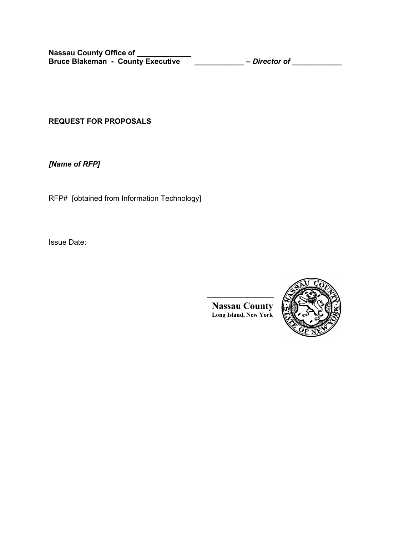**REQUEST FOR PROPOSALS**

*[Name of RFP]*

RFP# [obtained from Information Technology]

Issue Date:



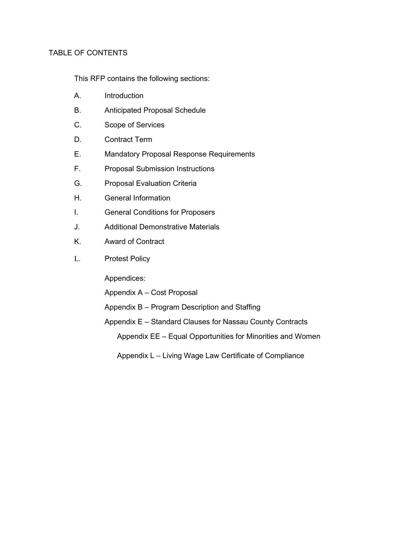# TABLE OF CONTENTS

This RFP contains the following sections:

- A. Introduction
- B. Anticipated Proposal Schedule
- C. Scope of Services
- D. Contract Term
- E. Mandatory Proposal Response Requirements
- F. Proposal Submission Instructions
- G. Proposal Evaluation Criteria
- H. General Information
- I. General Conditions for Proposers
- J. Additional Demonstrative Materials
- K. Award of Contract
- L. Protest Policy

Appendices:

- Appendix A Cost Proposal
- Appendix B Program Description and Staffing
- Appendix E Standard Clauses for Nassau County Contracts Appendix EE – Equal Opportunities for Minorities and Women
	- Appendix L Living Wage Law Certificate of Compliance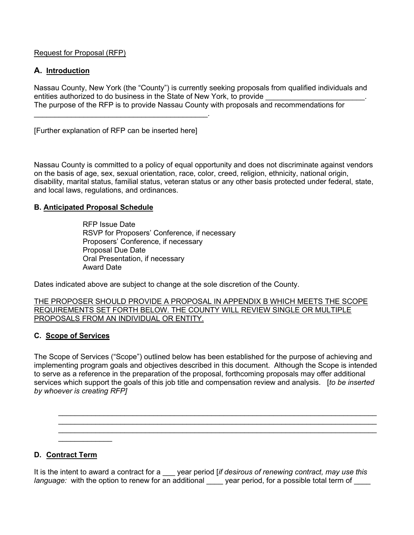Request for Proposal (RFP)

# **A. Introduction**

Nassau County, New York (the "County") is currently seeking proposals from qualified individuals and entities authorized to do business in the State of New York, to provide The purpose of the RFP is to provide Nassau County with proposals and recommendations for

[Further explanation of RFP can be inserted here]

\_\_\_\_\_\_\_\_\_\_\_\_\_\_\_\_\_\_\_\_\_\_\_\_\_\_\_\_\_\_\_\_\_\_\_\_\_\_\_\_\_\_.

Nassau County is committed to a policy of equal opportunity and does not discriminate against vendors on the basis of age, sex, sexual orientation, race, color, creed, religion, ethnicity, national origin, disability, marital status, familial status, veteran status or any other basis protected under federal, state, and local laws, regulations, and ordinances.

## **B. Anticipated Proposal Schedule**

RFP Issue Date RSVP for Proposers' Conference, if necessary Proposers' Conference, if necessary Proposal Due Date Oral Presentation, if necessary Award Date

Dates indicated above are subject to change at the sole discretion of the County.

THE PROPOSER SHOULD PROVIDE A PROPOSAL IN APPENDIX B WHICH MEETS THE SCOPE REQUIREMENTS SET FORTH BELOW. THE COUNTY WILL REVIEW SINGLE OR MULTIPLE PROPOSALS FROM AN INDIVIDUAL OR ENTITY.

# **C. Scope of Services**

The Scope of Services ("Scope") outlined below has been established for the purpose of achieving and implementing program goals and objectives described in this document. Although the Scope is intended to serve as a reference in the preparation of the proposal, forthcoming proposals may offer additional services which support the goals of this job title and compensation review and analysis. [*to be inserted by whoever is creating RFP]*

 $\_$  , and the set of the set of the set of the set of the set of the set of the set of the set of the set of the set of the set of the set of the set of the set of the set of the set of the set of the set of the set of th  $\_$  , and the contribution of the contribution of the contribution of the contribution of  $\mathcal{L}_\text{max}$  $\_$  , and the set of the set of the set of the set of the set of the set of the set of the set of the set of the set of the set of the set of the set of the set of the set of the set of the set of the set of the set of th

# **D. Contract Term**

 $\overline{\phantom{a}}$  , where  $\overline{\phantom{a}}$ 

It is the intent to award a contract for a \_\_\_ year period [*if desirous of renewing contract, may use this language:* with the option to renew for an additional vear period, for a possible total term of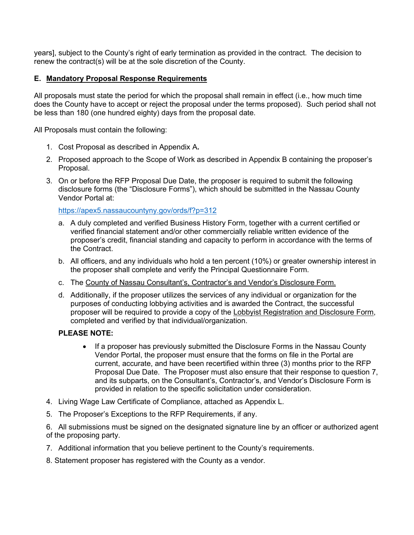years], subject to the County's right of early termination as provided in the contract. The decision to renew the contract(s) will be at the sole discretion of the County.

# **E. Mandatory Proposal Response Requirements**

All proposals must state the period for which the proposal shall remain in effect (i.e., how much time does the County have to accept or reject the proposal under the terms proposed). Such period shall not be less than 180 (one hundred eighty) days from the proposal date.

All Proposals must contain the following:

- 1. Cost Proposal as described in Appendix A**.**
- 2. Proposed approach to the Scope of Work as described in Appendix B containing the proposer's Proposal.
- 3. On or before the RFP Proposal Due Date, the proposer is required to submit the following disclosure forms (the "Disclosure Forms"), which should be submitted in the Nassau County Vendor Portal at:

[https://apex5.nassaucountyny.gov/ords/f?p=312](https://apex5.nassaucountyny.gov/ords/f?p=312:)

- a. A duly completed and verified Business History Form, together with a current certified or verified financial statement and/or other commercially reliable written evidence of the proposer's credit, financial standing and capacity to perform in accordance with the terms of the Contract.
- b. All officers, and any individuals who hold a ten percent (10%) or greater ownership interest in the proposer shall complete and verify the Principal Questionnaire Form.
- c. The County of Nassau Consultant's, Contractor's and Vendor's Disclosure Form.
- d. Additionally, if the proposer utilizes the services of any individual or organization for the purposes of conducting lobbying activities and is awarded the Contract, the successful proposer will be required to provide a copy of the Lobbyist Registration and Disclosure Form, completed and verified by that individual/organization.

## **PLEASE NOTE:**

- If a proposer has previously submitted the Disclosure Forms in the Nassau County Vendor Portal, the proposer must ensure that the forms on file in the Portal are current, accurate, and have been recertified within three (3) months prior to the RFP Proposal Due Date. The Proposer must also ensure that their response to question 7, and its subparts, on the Consultant's, Contractor's, and Vendor's Disclosure Form is provided in relation to the specific solicitation under consideration.
- 4. Living Wage Law Certificate of Compliance, attached as Appendix L.
- 5. The Proposer's Exceptions to the RFP Requirements, if any.

6. All submissions must be signed on the designated signature line by an officer or authorized agent of the proposing party.

7. Additional information that you believe pertinent to the County's requirements.

8. Statement proposer has registered with the County as a vendor.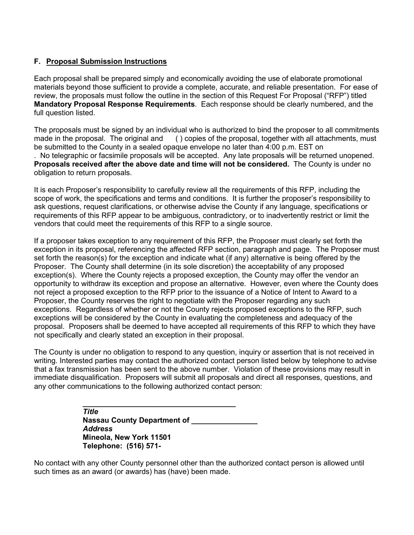# **F. Proposal Submission Instructions**

Each proposal shall be prepared simply and economically avoiding the use of elaborate promotional materials beyond those sufficient to provide a complete, accurate, and reliable presentation. For ease of review, the proposals must follow the outline in the section of this Request For Proposal ("RFP") titled **Mandatory Proposal Response Requirements**. Each response should be clearly numbered, and the full question listed.

The proposals must be signed by an individual who is authorized to bind the proposer to all commitments must<br>made in the proposal. The original and () copies of the proposal, together with all attachments, must  $( )$  copies of the proposal, together with all attachments, must be submitted to the County in a sealed opaque envelope no later than 4:00 p.m. EST on . No telegraphic or facsimile proposals will be accepted. Any late proposals will be returned unopened.

**Proposals received after the above date and time will not be considered.** The County is under no obligation to return proposals.

It is each Proposer's responsibility to carefully review all the requirements of this RFP, including the scope of work, the specifications and terms and conditions. It is further the proposer's responsibility to ask questions, request clarifications, or otherwise advise the County if any language, specifications or requirements of this RFP appear to be ambiguous, contradictory, or to inadvertently restrict or limit the vendors that could meet the requirements of this RFP to a single source.

If a proposer takes exception to any requirement of this RFP, the Proposer must clearly set forth the exception in its proposal, referencing the affected RFP section, paragraph and page. The Proposer must set forth the reason(s) for the exception and indicate what (if any) alternative is being offered by the Proposer. The County shall determine (in its sole discretion) the acceptability of any proposed exception(s). Where the County rejects a proposed exception, the County may offer the vendor an opportunity to withdraw its exception and propose an alternative. However, even where the County does not reject a proposed exception to the RFP prior to the issuance of a Notice of Intent to Award to a Proposer, the County reserves the right to negotiate with the Proposer regarding any such exceptions. Regardless of whether or not the County rejects proposed exceptions to the RFP, such exceptions will be considered by the County in evaluating the completeness and adequacy of the proposal. Proposers shall be deemed to have accepted all requirements of this RFP to which they have not specifically and clearly stated an exception in their proposal.

The County is under no obligation to respond to any question, inquiry or assertion that is not received in writing. Interested parties may contact the authorized contact person listed below by telephone to advise that a fax transmission has been sent to the above number. Violation of these provisions may result in immediate disqualification. Proposers will submit all proposals and direct all responses, questions, and any other communications to the following authorized contact person:

> **\_\_\_\_\_\_\_\_\_\_\_\_\_\_\_\_\_\_\_\_\_\_\_\_\_\_\_\_\_\_\_\_\_\_\_\_\_** *Title* **Nassau County Department of** *Address* **Mineola, New York 11501 Telephone: (516) 571-**

No contact with any other County personnel other than the authorized contact person is allowed until such times as an award (or awards) has (have) been made.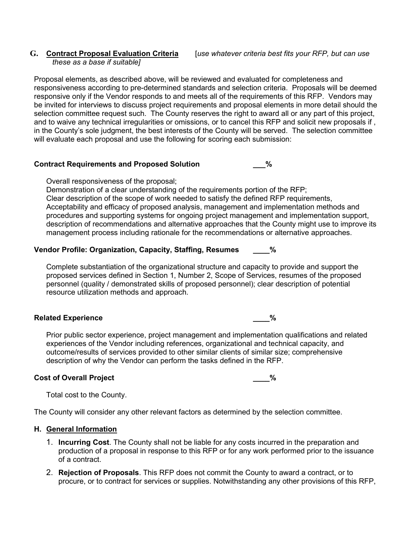# *these as a base if suitable]*

Proposal elements, as described above, will be reviewed and evaluated for completeness and responsiveness according to pre-determined standards and selection criteria. Proposals will be deemed responsive only if the Vendor responds to and meets all of the requirements of this RFP. Vendors may be invited for interviews to discuss project requirements and proposal elements in more detail should the selection committee request such. The County reserves the right to award all or any part of this project, and to waive any technical irregularities or omissions, or to cancel this RFP and solicit new proposals if , in the County's sole judgment, the best interests of the County will be served. The selection committee will evaluate each proposal and use the following for scoring each submission:

## **Contract Requirements and Proposed Solution \_\_\_%**

Overall responsiveness of the proposal;

Demonstration of a clear understanding of the requirements portion of the RFP; Clear description of the scope of work needed to satisfy the defined RFP requirements, Acceptability and efficacy of proposed analysis, management and implementation methods and procedures and supporting systems for ongoing project management and implementation support, description of recommendations and alternative approaches that the County might use to improve its management process including rationale for the recommendations or alternative approaches.

## **Vendor Profile: Organization, Capacity, Staffing, Resumes \_\_\_\_%**

Complete substantiation of the organizational structure and capacity to provide and support the proposed services defined in Section 1, Number 2, Scope of Services, resumes of the proposed personnel (quality / demonstrated skills of proposed personnel); clear description of potential resource utilization methods and approach.

## **Related Experience \_\_\_\_%**

Prior public sector experience, project management and implementation qualifications and related experiences of the Vendor including references, organizational and technical capacity, and outcome/results of services provided to other similar clients of similar size; comprehensive description of why the Vendor can perform the tasks defined in the RFP.

## **Cost of Overall Project \_\_\_\_%**

Total cost to the County.

The County will consider any other relevant factors as determined by the selection committee.

## **H. General Information**

- 1. **Incurring Cost**. The County shall not be liable for any costs incurred in the preparation and production of a proposal in response to this RFP or for any work performed prior to the issuance of a contract.
- 2. **Rejection of Proposals**. This RFP does not commit the County to award a contract, or to procure, or to contract for services or supplies. Notwithstanding any other provisions of this RFP,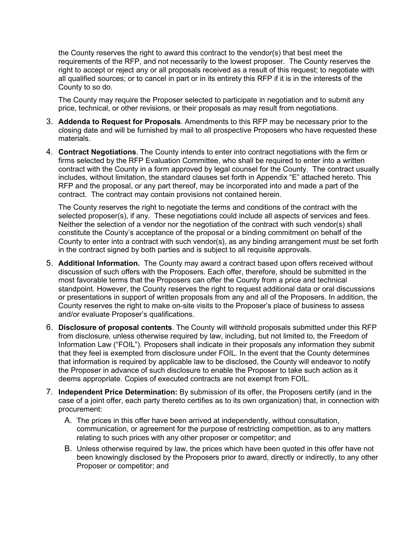the County reserves the right to award this contract to the vendor(s) that best meet the requirements of the RFP, and not necessarily to the lowest proposer. The County reserves the right to accept or reject any or all proposals received as a result of this request; to negotiate with all qualified sources; or to cancel in part or in its entirety this RFP if it is in the interests of the County to so do.

The County may require the Proposer selected to participate in negotiation and to submit any price, technical, or other revisions, or their proposals as may result from negotiations.

- 3. **Addenda to Request for Proposals**. Amendments to this RFP may be necessary prior to the closing date and will be furnished by mail to all prospective Proposers who have requested these materials.
- 4. **Contract Negotiations**. The County intends to enter into contract negotiations with the firm or firms selected by the RFP Evaluation Committee, who shall be required to enter into a written contract with the County in a form approved by legal counsel for the County. The contract usually includes, without limitation, the standard clauses set forth in Appendix "E" attached hereto. This RFP and the proposal, or any part thereof, may be incorporated into and made a part of the contract. The contract may contain provisions not contained herein.

The County reserves the right to negotiate the terms and conditions of the contract with the selected proposer(s), if any. These negotiations could include all aspects of services and fees. Neither the selection of a vendor nor the negotiation of the contract with such vendor(s) shall constitute the County's acceptance of the proposal or a binding commitment on behalf of the County to enter into a contract with such vendor(s), as any binding arrangement must be set forth in the contract signed by both parties and is subject to all requisite approvals.

- 5. **Additional Information.** The County may award a contract based upon offers received without discussion of such offers with the Proposers. Each offer, therefore, should be submitted in the most favorable terms that the Proposers can offer the County from a price and technical standpoint. However, the County reserves the right to request additional data or oral discussions or presentations in support of written proposals from any and all of the Proposers. In addition, the County reserves the right to make on-site visits to the Proposer's place of business to assess and/or evaluate Proposer's qualifications.
- 6. **Disclosure of proposal contents**. The County will withhold proposals submitted under this RFP from disclosure, unless otherwise required by law, including, but not limited to, the Freedom of Information Law ("FOIL"). Proposers shall indicate in their proposals any information they submit that they feel is exempted from disclosure under FOIL. In the event that the County determines that information is required by applicable law to be disclosed, the County will endeavor to notify the Proposer in advance of such disclosure to enable the Proposer to take such action as it deems appropriate. Copies of executed contracts are not exempt from FOIL.
- 7. **Independent Price Determination:** By submission of its offer, the Proposers certify (and in the case of a joint offer, each party thereto certifies as to its own organization) that, in connection with procurement:
	- A. The prices in this offer have been arrived at independently, without consultation, communication, or agreement for the purpose of restricting competition, as to any matters relating to such prices with any other proposer or competitor; and
	- B. Unless otherwise required by law, the prices which have been quoted in this offer have not been knowingly disclosed by the Proposers prior to award, directly or indirectly, to any other Proposer or competitor; and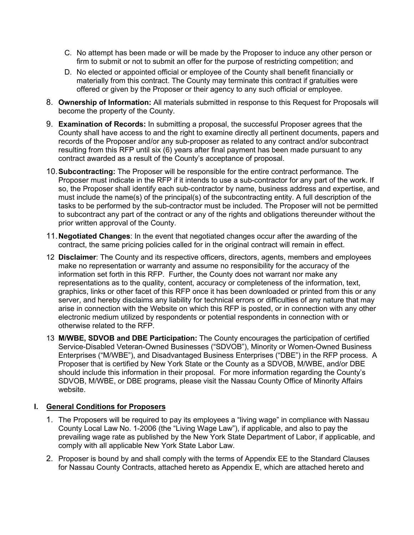- C. No attempt has been made or will be made by the Proposer to induce any other person or firm to submit or not to submit an offer for the purpose of restricting competition; and
- D. No elected or appointed official or employee of the County shall benefit financially or materially from this contract. The County may terminate this contract if gratuities were offered or given by the Proposer or their agency to any such official or employee.
- 8. **Ownership of Information:** All materials submitted in response to this Request for Proposals will become the property of the County.
- 9. **Examination of Records:** In submitting a proposal, the successful Proposer agrees that the County shall have access to and the right to examine directly all pertinent documents, papers and records of the Proposer and/or any sub-proposer as related to any contract and/or subcontract resulting from this RFP until six (6) years after final payment has been made pursuant to any contract awarded as a result of the County's acceptance of proposal.
- 10.**Subcontracting:** The Proposer will be responsible for the entire contract performance. The Proposer must indicate in the RFP if it intends to use a sub-contractor for any part of the work. If so, the Proposer shall identify each sub-contractor by name, business address and expertise, and must include the name(s) of the principal(s) of the subcontracting entity. A full description of the tasks to be performed by the sub-contractor must be included. The Proposer will not be permitted to subcontract any part of the contract or any of the rights and obligations thereunder without the prior written approval of the County.
- 11.**Negotiated Changes**: In the event that negotiated changes occur after the awarding of the contract, the same pricing policies called for in the original contract will remain in effect.
- 12 **Disclaimer**: The County and its respective officers, directors, agents, members and employees make no representation or warranty and assume no responsibility for the accuracy of the information set forth in this RFP. Further, the County does not warrant nor make any representations as to the quality, content, accuracy or completeness of the information, text, graphics, links or other facet of this RFP once it has been downloaded or printed from this or any server, and hereby disclaims any liability for technical errors or difficulties of any nature that may arise in connection with the Website on which this RFP is posted, or in connection with any other electronic medium utilized by respondents or potential respondents in connection with or otherwise related to the RFP.
- 13 **M/WBE, SDVOB and DBE Participation:** The County encourages the participation of certified Service-Disabled Veteran-Owned Businesses ("SDVOB"), Minority or Women-Owned Business Enterprises ("M/WBE"), and Disadvantaged Business Enterprises ("DBE") in the RFP process. A Proposer that is certified by New York State or the County as a SDVOB, M/WBE, and/or DBE should include this information in their proposal. For more information regarding the County's SDVOB, M/WBE, or DBE programs, please visit the Nassau County Office of Minority Affairs website.

# **I. General Conditions for Proposers**

- 1. The Proposers will be required to pay its employees a "living wage" in compliance with Nassau County Local Law No. 1-2006 (the "Living Wage Law"), if applicable, and also to pay the prevailing wage rate as published by the New York State Department of Labor, if applicable, and comply with all applicable New York State Labor Law.
- 2. Proposer is bound by and shall comply with the terms of Appendix EE to the Standard Clauses for Nassau County Contracts, attached hereto as Appendix E, which are attached hereto and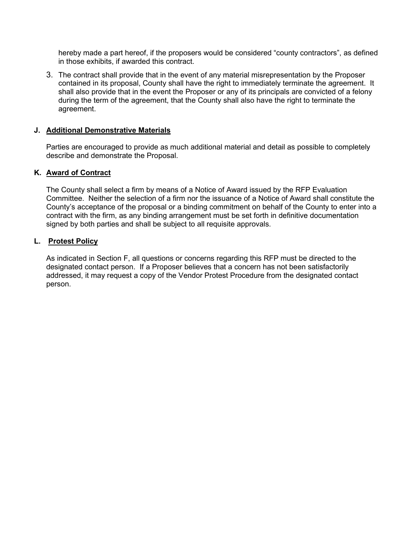hereby made a part hereof, if the proposers would be considered "county contractors", as defined in those exhibits, if awarded this contract.

3. The contract shall provide that in the event of any material misrepresentation by the Proposer contained in its proposal, County shall have the right to immediately terminate the agreement. It shall also provide that in the event the Proposer or any of its principals are convicted of a felony during the term of the agreement, that the County shall also have the right to terminate the agreement.

## **J. Additional Demonstrative Materials**

Parties are encouraged to provide as much additional material and detail as possible to completely describe and demonstrate the Proposal.

#### **K. Award of Contract**

The County shall select a firm by means of a Notice of Award issued by the RFP Evaluation Committee. Neither the selection of a firm nor the issuance of a Notice of Award shall constitute the County's acceptance of the proposal or a binding commitment on behalf of the County to enter into a contract with the firm, as any binding arrangement must be set forth in definitive documentation signed by both parties and shall be subject to all requisite approvals.

#### **L. Protest Policy**

As indicated in Section F, all questions or concerns regarding this RFP must be directed to the designated contact person. If a Proposer believes that a concern has not been satisfactorily addressed, it may request a copy of the Vendor Protest Procedure from the designated contact person.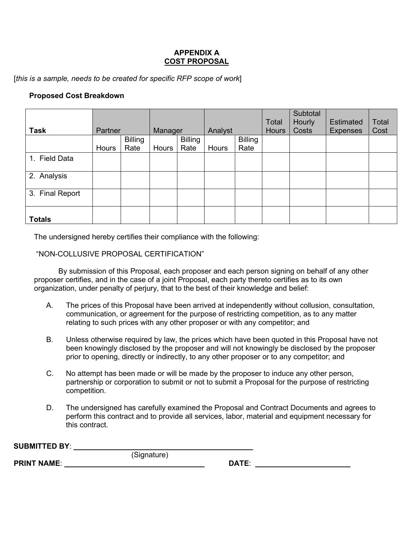## **APPENDIX A COST PROPOSAL**

[*this is a sample, needs to be created for specific RFP scope of work*]

## **Proposed Cost Breakdown**

|                 |         |                |                |                |         |                |              | Subtotal |                  |       |
|-----------------|---------|----------------|----------------|----------------|---------|----------------|--------------|----------|------------------|-------|
|                 |         |                |                |                |         |                | Total        | Hourly   | <b>Estimated</b> | Total |
| <b>Task</b>     | Partner |                | <b>Manager</b> |                | Analyst |                | <b>Hours</b> | Costs    | <b>Expenses</b>  | Cost  |
|                 |         | <b>Billing</b> |                | <b>Billing</b> |         | <b>Billing</b> |              |          |                  |       |
|                 | Hours   | Rate           | Hours          | Rate           | Hours   | Rate           |              |          |                  |       |
| 1. Field Data   |         |                |                |                |         |                |              |          |                  |       |
| 2. Analysis     |         |                |                |                |         |                |              |          |                  |       |
| 3. Final Report |         |                |                |                |         |                |              |          |                  |       |
| <b>Totals</b>   |         |                |                |                |         |                |              |          |                  |       |

The undersigned hereby certifies their compliance with the following:

## "NON-COLLUSIVE PROPOSAL CERTIFICATION"

By submission of this Proposal, each proposer and each person signing on behalf of any other proposer certifies, and in the case of a joint Proposal, each party thereto certifies as to its own organization, under penalty of perjury, that to the best of their knowledge and belief:

- A. The prices of this Proposal have been arrived at independently without collusion, consultation, communication, or agreement for the purpose of restricting competition, as to any matter relating to such prices with any other proposer or with any competitor; and
- B. Unless otherwise required by law, the prices which have been quoted in this Proposal have not been knowingly disclosed by the proposer and will not knowingly be disclosed by the proposer prior to opening, directly or indirectly, to any other proposer or to any competitor; and
- C. No attempt has been made or will be made by the proposer to induce any other person, partnership or corporation to submit or not to submit a Proposal for the purpose of restricting competition.
- D. The undersigned has carefully examined the Proposal and Contract Documents and agrees to perform this contract and to provide all services, labor, material and equipment necessary for this contract.

| <b>SUBMITTED BY:</b> |              |
|----------------------|--------------|
|                      | (Signature)  |
| <b>PRINT NAME:</b>   | <b>DATE:</b> |
|                      |              |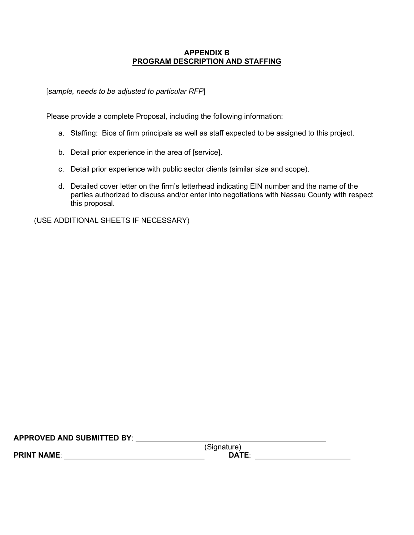## **APPENDIX B PROGRAM DESCRIPTION AND STAFFING**

[*sample, needs to be adjusted to particular RFP*]

Please provide a complete Proposal, including the following information:

- a. Staffing: Bios of firm principals as well as staff expected to be assigned to this project.
- b. Detail prior experience in the area of [service].
- c. Detail prior experience with public sector clients (similar size and scope).
- d. Detailed cover letter on the firm's letterhead indicating EIN number and the name of the parties authorized to discuss and/or enter into negotiations with Nassau County with respect this proposal.

(USE ADDITIONAL SHEETS IF NECESSARY)

**APPROVED AND SUBMITTED BY**:

**PRINT NAME:**  $\blacksquare$ 

(Signature)<br>DATE: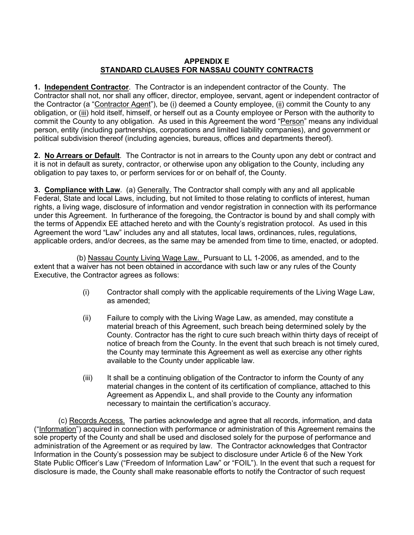## **APPENDIX E STANDARD CLAUSES FOR NASSAU COUNTY CONTRACTS**

**1. Independent Contractor**. The Contractor is an independent contractor of the County. The Contractor shall not, nor shall any officer, director, employee, servant, agent or independent contractor of the Contractor (a "Contractor Agent"), be (i) deemed a County employee, (ii) commit the County to any obligation, or (iii) hold itself, himself, or herself out as a County employee or Person with the authority to commit the County to any obligation. As used in this Agreement the word "Person" means any individual person, entity (including partnerships, corporations and limited liability companies), and government or political subdivision thereof (including agencies, bureaus, offices and departments thereof).

**2. No Arrears or Default**. The Contractor is not in arrears to the County upon any debt or contract and it is not in default as surety, contractor, or otherwise upon any obligation to the County, including any obligation to pay taxes to, or perform services for or on behalf of, the County.

**3. Compliance with Law**. (a) Generally. The Contractor shall comply with any and all applicable Federal, State and local Laws, including, but not limited to those relating to conflicts of interest, human rights, a living wage, disclosure of information and vendor registration in connection with its performance under this Agreement. In furtherance of the foregoing, the Contractor is bound by and shall comply with the terms of Appendix EE attached hereto and with the County's registration protocol. As used in this Agreement the word "Law" includes any and all statutes, local laws, ordinances, rules, regulations, applicable orders, and/or decrees, as the same may be amended from time to time, enacted, or adopted.

(b) Nassau County Living Wage Law. Pursuant to LL 1-2006, as amended, and to the extent that a waiver has not been obtained in accordance with such law or any rules of the County Executive, the Contractor agrees as follows:

- (i) Contractor shall comply with the applicable requirements of the Living Wage Law, as amended;
- (ii) Failure to comply with the Living Wage Law, as amended, may constitute a material breach of this Agreement, such breach being determined solely by the County. Contractor has the right to cure such breach within thirty days of receipt of notice of breach from the County. In the event that such breach is not timely cured, the County may terminate this Agreement as well as exercise any other rights available to the County under applicable law.
- (iii) It shall be a continuing obligation of the Contractor to inform the County of any material changes in the content of its certification of compliance, attached to this Agreement as Appendix L, and shall provide to the County any information necessary to maintain the certification's accuracy.

(c) Records Access. The parties acknowledge and agree that all records, information, and data ("Information") acquired in connection with performance or administration of this Agreement remains the sole property of the County and shall be used and disclosed solely for the purpose of performance and administration of the Agreement or as required by law. The Contractor acknowledges that Contractor Information in the County's possession may be subject to disclosure under Article 6 of the New York State Public Officer's Law ("Freedom of Information Law" or "FOIL"). In the event that such a request for disclosure is made, the County shall make reasonable efforts to notify the Contractor of such request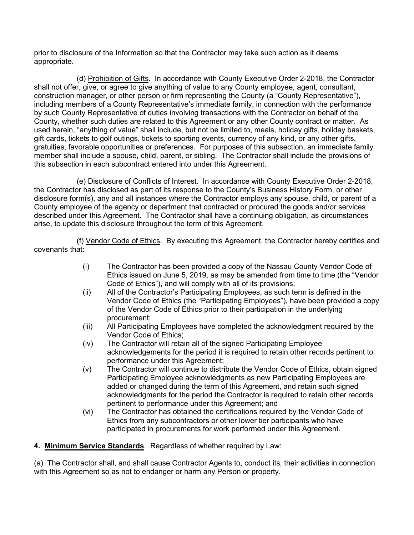prior to disclosure of the Information so that the Contractor may take such action as it deems appropriate.

(d) Prohibition of Gifts. In accordance with County Executive Order 2-2018, the Contractor shall not offer, give, or agree to give anything of value to any County employee, agent, consultant, construction manager, or other person or firm representing the County (a "County Representative"), including members of a County Representative's immediate family, in connection with the performance by such County Representative of duties involving transactions with the Contractor on behalf of the County, whether such duties are related to this Agreement or any other County contract or matter. As used herein, "anything of value" shall include, but not be limited to, meals, holiday gifts, holiday baskets, gift cards, tickets to golf outings, tickets to sporting events, currency of any kind, or any other gifts, gratuities, favorable opportunities or preferences. For purposes of this subsection, an immediate family member shall include a spouse, child, parent, or sibling. The Contractor shall include the provisions of this subsection in each subcontract entered into under this Agreement.

(e) Disclosure of Conflicts of Interest. In accordance with County Executive Order 2-2018, the Contractor has disclosed as part of its response to the County's Business History Form, or other disclosure form(s), any and all instances where the Contractor employs any spouse, child, or parent of a County employee of the agency or department that contracted or procured the goods and/or services described under this Agreement. The Contractor shall have a continuing obligation, as circumstances arise, to update this disclosure throughout the term of this Agreement.

(f) Vendor Code of Ethics. By executing this Agreement, the Contractor hereby certifies and covenants that:

- (i) The Contractor has been provided a copy of the Nassau County Vendor Code of Ethics issued on June 5, 2019, as may be amended from time to time (the "Vendor Code of Ethics"), and will comply with all of its provisions;
- (ii) All of the Contractor's Participating Employees, as such term is defined in the Vendor Code of Ethics (the "Participating Employees"), have been provided a copy of the Vendor Code of Ethics prior to their participation in the underlying procurement;
- (iii) All Participating Employees have completed the acknowledgment required by the Vendor Code of Ethics;
- (iv) The Contractor will retain all of the signed Participating Employee acknowledgements for the period it is required to retain other records pertinent to performance under this Agreement;
- (v) The Contractor will continue to distribute the Vendor Code of Ethics, obtain signed Participating Employee acknowledgments as new Participating Employees are added or changed during the term of this Agreement, and retain such signed acknowledgments for the period the Contractor is required to retain other records pertinent to performance under this Agreement; and
- (vi) The Contractor has obtained the certifications required by the Vendor Code of Ethics from any subcontractors or other lower tier participants who have participated in procurements for work performed under this Agreement.

**4. Minimum Service Standards**. Regardless of whether required by Law:

(a) The Contractor shall, and shall cause Contractor Agents to, conduct its, their activities in connection with this Agreement so as not to endanger or harm any Person or property.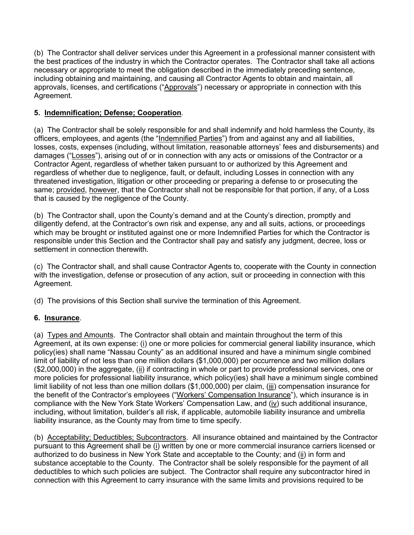(b) The Contractor shall deliver services under this Agreement in a professional manner consistent with the best practices of the industry in which the Contractor operates. The Contractor shall take all actions necessary or appropriate to meet the obligation described in the immediately preceding sentence, including obtaining and maintaining, and causing all Contractor Agents to obtain and maintain, all approvals, licenses, and certifications ("Approvals") necessary or appropriate in connection with this Agreement.

# **5. Indemnification; Defense; Cooperation**.

(a) The Contractor shall be solely responsible for and shall indemnify and hold harmless the County, its officers, employees, and agents (the "Indemnified Parties") from and against any and all liabilities, losses, costs, expenses (including, without limitation, reasonable attorneys' fees and disbursements) and damages ("Losses"), arising out of or in connection with any acts or omissions of the Contractor or a Contractor Agent, regardless of whether taken pursuant to or authorized by this Agreement and regardless of whether due to negligence, fault, or default, including Losses in connection with any threatened investigation, litigation or other proceeding or preparing a defense to or prosecuting the same; provided, however, that the Contractor shall not be responsible for that portion, if any, of a Loss that is caused by the negligence of the County.

(b) The Contractor shall, upon the County's demand and at the County's direction, promptly and diligently defend, at the Contractor's own risk and expense, any and all suits, actions, or proceedings which may be brought or instituted against one or more Indemnified Parties for which the Contractor is responsible under this Section and the Contractor shall pay and satisfy any judgment, decree, loss or settlement in connection therewith.

(c) The Contractor shall, and shall cause Contractor Agents to, cooperate with the County in connection with the investigation, defense or prosecution of any action, suit or proceeding in connection with this Agreement.

(d) The provisions of this Section shall survive the termination of this Agreement.

# **6. Insurance**.

(a) Types and Amounts. The Contractor shall obtain and maintain throughout the term of this Agreement, at its own expense: (i) one or more policies for commercial general liability insurance, which policy(ies) shall name "Nassau County" as an additional insured and have a minimum single combined limit of liability of not less than one million dollars (\$1,000,000) per occurrence and two million dollars (\$2,000,000) in the aggregate, (ii) if contracting in whole or part to provide professional services, one or more policies for professional liability insurance, which policy(ies) shall have a minimum single combined limit liability of not less than one million dollars (\$1,000,000) per claim, (iii) compensation insurance for the benefit of the Contractor's employees ("Workers' Compensation Insurance"), which insurance is in compliance with the New York State Workers' Compensation Law, and (iv) such additional insurance, including, without limitation, builder's all risk, if applicable, automobile liability insurance and umbrella liability insurance, as the County may from time to time specify.

(b) Acceptability; Deductibles; Subcontractors. All insurance obtained and maintained by the Contractor pursuant to this Agreement shall be (i) written by one or more commercial insurance carriers licensed or authorized to do business in New York State and acceptable to the County; and (ii) in form and substance acceptable to the County. The Contractor shall be solely responsible for the payment of all deductibles to which such policies are subject. The Contractor shall require any subcontractor hired in connection with this Agreement to carry insurance with the same limits and provisions required to be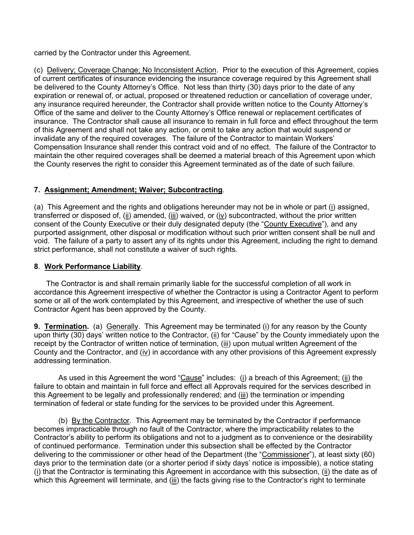carried by the Contractor under this Agreement.

(c) Delivery; Coverage Change; No Inconsistent Action. Prior to the execution of this Agreement, copies of current certificates of insurance evidencing the insurance coverage required by this Agreement shall be delivered to the County Attorney's Office. Not less than thirty (30) days prior to the date of any expiration or renewal of, or actual, proposed or threatened reduction or cancellation of coverage under, any insurance required hereunder, the Contractor shall provide written notice to the County Attorney's Office of the same and deliver to the County Attorney's Office renewal or replacement certificates of insurance. The Contractor shall cause all insurance to remain in full force and effect throughout the term of this Agreement and shall not take any action, or omit to take any action that would suspend or invalidate any of the required coverages. The failure of the Contractor to maintain Workers' Compensation Insurance shall render this contract void and of no effect. The failure of the Contractor to maintain the other required coverages shall be deemed a material breach of this Agreement upon which the County reserves the right to consider this Agreement terminated as of the date of such failure.

## **7. Assignment; Amendment; Waiver; Subcontracting**.

(a) This Agreement and the rights and obligations hereunder may not be in whole or part (i) assigned, transferred or disposed of, (ii) amended, (iii) waived, or (iv) subcontracted, without the prior written consent of the County Executive or their duly designated deputy (the "County Executive"), and any purported assignment, other disposal or modification without such prior written consent shall be null and void. The failure of a party to assert any of its rights under this Agreement, including the right to demand strict performance, shall not constitute a waiver of such rights.

# **8**. **Work Performance Liability**.

The Contractor is and shall remain primarily liable for the successful completion of all work in accordance this Agreement irrespective of whether the Contractor is using a Contractor Agent to perform some or all of the work contemplated by this Agreement, and irrespective of whether the use of such Contractor Agent has been approved by the County.

**9. Termination.** (a) Generally. This Agreement may be terminated (i) for any reason by the County upon thirty (30) days' written notice to the Contractor, (ii) for "Cause" by the County immediately upon the receipt by the Contractor of written notice of termination, (iii) upon mutual written Agreement of the County and the Contractor, and (iv) in accordance with any other provisions of this Agreement expressly addressing termination.

As used in this Agreement the word "Cause" includes: (i) a breach of this Agreement; (ii) the failure to obtain and maintain in full force and effect all Approvals required for the services described in this Agreement to be legally and professionally rendered; and (iii) the termination or impending termination of federal or state funding for the services to be provided under this Agreement.

(b) By the Contractor. This Agreement may be terminated by the Contractor if performance becomes impracticable through no fault of the Contractor, where the impracticability relates to the Contractor's ability to perform its obligations and not to a judgment as to convenience or the desirability of continued performance. Termination under this subsection shall be effected by the Contractor delivering to the commissioner or other head of the Department (the "Commissioner"), at least sixty (60) days prior to the termination date (or a shorter period if sixty days' notice is impossible), a notice stating  $(i)$  that the Contractor is terminating this Agreement in accordance with this subsection,  $(ii)$  the date as of which this Agreement will terminate, and (iii) the facts giving rise to the Contractor's right to terminate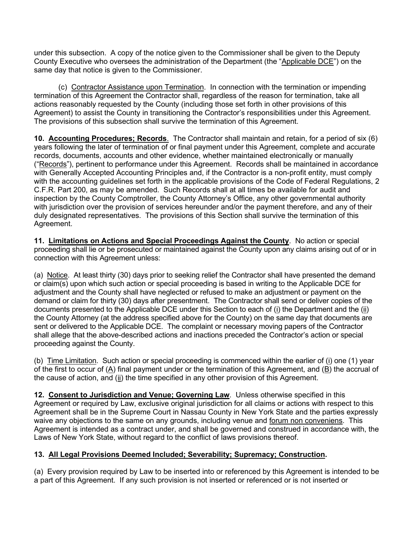under this subsection. A copy of the notice given to the Commissioner shall be given to the Deputy County Executive who oversees the administration of the Department (the "Applicable DCE") on the same day that notice is given to the Commissioner.

(c) Contractor Assistance upon Termination. In connection with the termination or impending termination of this Agreement the Contractor shall, regardless of the reason for termination, take all actions reasonably requested by the County (including those set forth in other provisions of this Agreement) to assist the County in transitioning the Contractor's responsibilities under this Agreement. The provisions of this subsection shall survive the termination of this Agreement.

**10. Accounting Procedures; Records**. The Contractor shall maintain and retain, for a period of six (6) years following the later of termination of or final payment under this Agreement, complete and accurate records, documents, accounts and other evidence, whether maintained electronically or manually ("Records"), pertinent to performance under this Agreement. Records shall be maintained in accordance with Generally Accepted Accounting Principles and, if the Contractor is a non-profit entity, must comply with the accounting guidelines set forth in the applicable provisions of the Code of Federal Regulations, 2 C.F.R. Part 200, as may be amended. Such Records shall at all times be available for audit and inspection by the County Comptroller, the County Attorney's Office, any other governmental authority with jurisdiction over the provision of services hereunder and/or the payment therefore, and any of their duly designated representatives. The provisions of this Section shall survive the termination of this Agreement.

**11. Limitations on Actions and Special Proceedings Against the County**. No action or special proceeding shall lie or be prosecuted or maintained against the County upon any claims arising out of or in connection with this Agreement unless:

(a) Notice. At least thirty (30) days prior to seeking relief the Contractor shall have presented the demand or claim(s) upon which such action or special proceeding is based in writing to the Applicable DCE for adjustment and the County shall have neglected or refused to make an adjustment or payment on the demand or claim for thirty (30) days after presentment. The Contractor shall send or deliver copies of the documents presented to the Applicable DCE under this Section to each of (i) the Department and the (ii) the County Attorney (at the address specified above for the County) on the same day that documents are sent or delivered to the Applicable DCE. The complaint or necessary moving papers of the Contractor shall allege that the above-described actions and inactions preceded the Contractor's action or special proceeding against the County.

(b) Time Limitation. Such action or special proceeding is commenced within the earlier of (i) one (1) year of the first to occur of (A) final payment under or the termination of this Agreement, and (B) the accrual of the cause of action, and (ii) the time specified in any other provision of this Agreement.

**12. Consent to Jurisdiction and Venue; Governing Law**. Unless otherwise specified in this Agreement or required by Law, exclusive original jurisdiction for all claims or actions with respect to this Agreement shall be in the Supreme Court in Nassau County in New York State and the parties expressly waive any objections to the same on any grounds, including venue and forum non conveniens. This Agreement is intended as a contract under, and shall be governed and construed in accordance with, the Laws of New York State, without regard to the conflict of laws provisions thereof.

# **13. All Legal Provisions Deemed Included; Severability; Supremacy; Construction.**

(a) Every provision required by Law to be inserted into or referenced by this Agreement is intended to be a part of this Agreement. If any such provision is not inserted or referenced or is not inserted or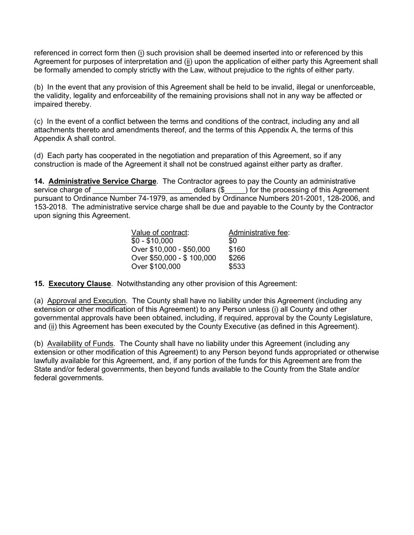referenced in correct form then (i) such provision shall be deemed inserted into or referenced by this Agreement for purposes of interpretation and (ii) upon the application of either party this Agreement shall be formally amended to comply strictly with the Law, without prejudice to the rights of either party.

(b) In the event that any provision of this Agreement shall be held to be invalid, illegal or unenforceable, the validity, legality and enforceability of the remaining provisions shall not in any way be affected or impaired thereby.

(c) In the event of a conflict between the terms and conditions of the contract, including any and all attachments thereto and amendments thereof, and the terms of this Appendix A, the terms of this Appendix A shall control.

(d) Each party has cooperated in the negotiation and preparation of this Agreement, so if any construction is made of the Agreement it shall not be construed against either party as drafter.

**14. Administrative Service Charge**. The Contractor agrees to pay the County an administrative service charge of this Agreem ) for the processing of this Agreement pursuant to Ordinance Number 74-1979, as amended by Ordinance Numbers 201-2001, 128-2006, and 153-2018. The administrative service charge shall be due and payable to the County by the Contractor upon signing this Agreement.

| Value of contract:        | Administrative fee: |  |  |  |
|---------------------------|---------------------|--|--|--|
| $$0 - $10,000$            | \$0                 |  |  |  |
| Over \$10,000 - \$50,000  | \$160               |  |  |  |
| Over \$50,000 - \$100,000 | \$266               |  |  |  |
| Over \$100,000            | \$533               |  |  |  |

**15. Executory Clause**. Notwithstanding any other provision of this Agreement:

(a) Approval and Execution. The County shall have no liability under this Agreement (including any extension or other modification of this Agreement) to any Person unless (i) all County and other governmental approvals have been obtained, including, if required, approval by the County Legislature, and (ii) this Agreement has been executed by the County Executive (as defined in this Agreement).

(b) Availability of Funds. The County shall have no liability under this Agreement (including any extension or other modification of this Agreement) to any Person beyond funds appropriated or otherwise lawfully available for this Agreement, and, if any portion of the funds for this Agreement are from the State and/or federal governments, then beyond funds available to the County from the State and/or federal governments.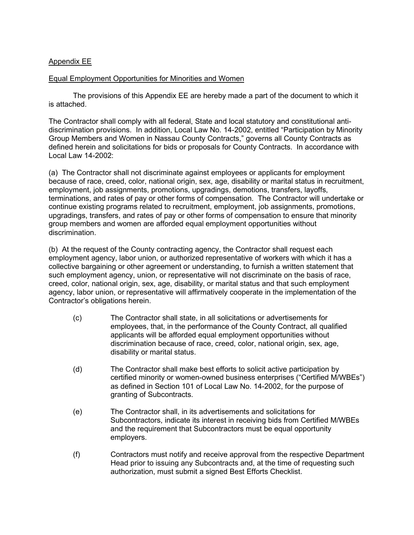## Appendix EE

#### Equal Employment Opportunities for Minorities and Women

The provisions of this Appendix EE are hereby made a part of the document to which it is attached.

The Contractor shall comply with all federal, State and local statutory and constitutional antidiscrimination provisions. In addition, Local Law No. 14-2002, entitled "Participation by Minority Group Members and Women in Nassau County Contracts," governs all County Contracts as defined herein and solicitations for bids or proposals for County Contracts. In accordance with Local Law 14-2002:

(a) The Contractor shall not discriminate against employees or applicants for employment because of race, creed, color, national origin, sex, age, disability or marital status in recruitment, employment, job assignments, promotions, upgradings, demotions, transfers, layoffs, terminations, and rates of pay or other forms of compensation. The Contractor will undertake or continue existing programs related to recruitment, employment, job assignments, promotions, upgradings, transfers, and rates of pay or other forms of compensation to ensure that minority group members and women are afforded equal employment opportunities without discrimination.

(b) At the request of the County contracting agency, the Contractor shall request each employment agency, labor union, or authorized representative of workers with which it has a collective bargaining or other agreement or understanding, to furnish a written statement that such employment agency, union, or representative will not discriminate on the basis of race, creed, color, national origin, sex, age, disability, or marital status and that such employment agency, labor union, or representative will affirmatively cooperate in the implementation of the Contractor's obligations herein.

- (c) The Contractor shall state, in all solicitations or advertisements for employees, that, in the performance of the County Contract, all qualified applicants will be afforded equal employment opportunities without discrimination because of race, creed, color, national origin, sex, age, disability or marital status.
- (d) The Contractor shall make best efforts to solicit active participation by certified minority or women-owned business enterprises ("Certified M/WBEs") as defined in Section 101 of Local Law No. 14-2002, for the purpose of granting of Subcontracts.
- (e) The Contractor shall, in its advertisements and solicitations for Subcontractors, indicate its interest in receiving bids from Certified M/WBEs and the requirement that Subcontractors must be equal opportunity employers.
- (f) Contractors must notify and receive approval from the respective Department Head prior to issuing any Subcontracts and, at the time of requesting such authorization, must submit a signed Best Efforts Checklist.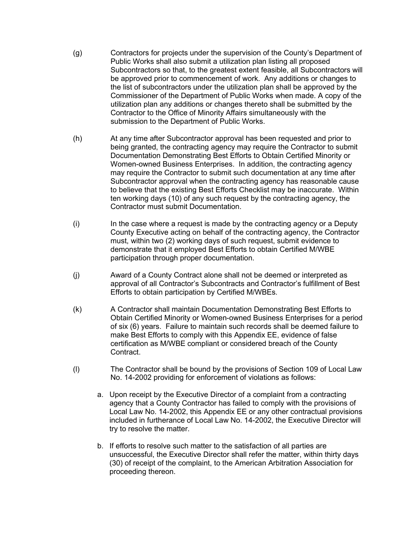- (g) Contractors for projects under the supervision of the County's Department of Public Works shall also submit a utilization plan listing all proposed Subcontractors so that, to the greatest extent feasible, all Subcontractors will be approved prior to commencement of work. Any additions or changes to the list of subcontractors under the utilization plan shall be approved by the Commissioner of the Department of Public Works when made. A copy of the utilization plan any additions or changes thereto shall be submitted by the Contractor to the Office of Minority Affairs simultaneously with the submission to the Department of Public Works.
- (h) At any time after Subcontractor approval has been requested and prior to being granted, the contracting agency may require the Contractor to submit Documentation Demonstrating Best Efforts to Obtain Certified Minority or Women-owned Business Enterprises. In addition, the contracting agency may require the Contractor to submit such documentation at any time after Subcontractor approval when the contracting agency has reasonable cause to believe that the existing Best Efforts Checklist may be inaccurate. Within ten working days (10) of any such request by the contracting agency, the Contractor must submit Documentation.
- (i) In the case where a request is made by the contracting agency or a Deputy County Executive acting on behalf of the contracting agency, the Contractor must, within two (2) working days of such request, submit evidence to demonstrate that it employed Best Efforts to obtain Certified M/WBE participation through proper documentation.
- (j) Award of a County Contract alone shall not be deemed or interpreted as approval of all Contractor's Subcontracts and Contractor's fulfillment of Best Efforts to obtain participation by Certified M/WBEs.
- (k) A Contractor shall maintain Documentation Demonstrating Best Efforts to Obtain Certified Minority or Women-owned Business Enterprises for a period of six (6) years. Failure to maintain such records shall be deemed failure to make Best Efforts to comply with this Appendix EE, evidence of false certification as M/WBE compliant or considered breach of the County Contract.
- (l) The Contractor shall be bound by the provisions of Section 109 of Local Law No. 14-2002 providing for enforcement of violations as follows:
	- a. Upon receipt by the Executive Director of a complaint from a contracting agency that a County Contractor has failed to comply with the provisions of Local Law No. 14-2002, this Appendix EE or any other contractual provisions included in furtherance of Local Law No. 14-2002, the Executive Director will try to resolve the matter.
	- b. If efforts to resolve such matter to the satisfaction of all parties are unsuccessful, the Executive Director shall refer the matter, within thirty days (30) of receipt of the complaint, to the American Arbitration Association for proceeding thereon.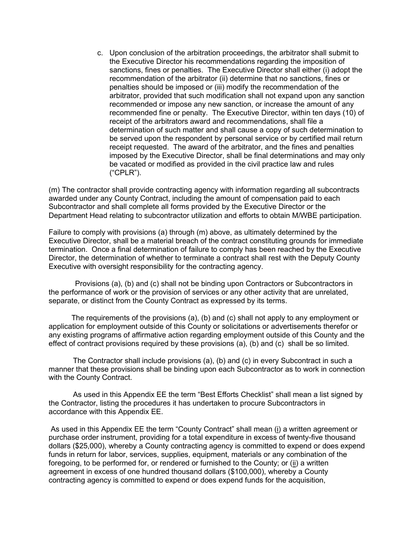c. Upon conclusion of the arbitration proceedings, the arbitrator shall submit to the Executive Director his recommendations regarding the imposition of sanctions, fines or penalties. The Executive Director shall either (i) adopt the recommendation of the arbitrator (ii) determine that no sanctions, fines or penalties should be imposed or (iii) modify the recommendation of the arbitrator, provided that such modification shall not expand upon any sanction recommended or impose any new sanction, or increase the amount of any recommended fine or penalty. The Executive Director, within ten days (10) of receipt of the arbitrators award and recommendations, shall file a determination of such matter and shall cause a copy of such determination to be served upon the respondent by personal service or by certified mail return receipt requested. The award of the arbitrator, and the fines and penalties imposed by the Executive Director, shall be final determinations and may only be vacated or modified as provided in the civil practice law and rules ("CPLR").

(m) The contractor shall provide contracting agency with information regarding all subcontracts awarded under any County Contract, including the amount of compensation paid to each Subcontractor and shall complete all forms provided by the Executive Director or the Department Head relating to subcontractor utilization and efforts to obtain M/WBE participation.

Failure to comply with provisions (a) through (m) above, as ultimately determined by the Executive Director, shall be a material breach of the contract constituting grounds for immediate termination. Once a final determination of failure to comply has been reached by the Executive Director, the determination of whether to terminate a contract shall rest with the Deputy County Executive with oversight responsibility for the contracting agency.

 Provisions (a), (b) and (c) shall not be binding upon Contractors or Subcontractors in the performance of work or the provision of services or any other activity that are unrelated, separate, or distinct from the County Contract as expressed by its terms.

 The requirements of the provisions (a), (b) and (c) shall not apply to any employment or application for employment outside of this County or solicitations or advertisements therefor or any existing programs of affirmative action regarding employment outside of this County and the effect of contract provisions required by these provisions (a), (b) and (c) shall be so limited.

The Contractor shall include provisions (a), (b) and (c) in every Subcontract in such a manner that these provisions shall be binding upon each Subcontractor as to work in connection with the County Contract.

As used in this Appendix EE the term "Best Efforts Checklist" shall mean a list signed by the Contractor, listing the procedures it has undertaken to procure Subcontractors in accordance with this Appendix EE.

As used in this Appendix EE the term "County Contract" shall mean (i) a written agreement or purchase order instrument, providing for a total expenditure in excess of twenty-five thousand dollars (\$25,000), whereby a County contracting agency is committed to expend or does expend funds in return for labor, services, supplies, equipment, materials or any combination of the foregoing, to be performed for, or rendered or furnished to the County; or (ii) a written agreement in excess of one hundred thousand dollars (\$100,000), whereby a County contracting agency is committed to expend or does expend funds for the acquisition,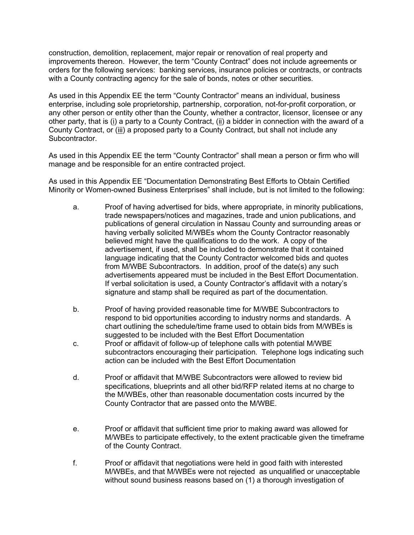construction, demolition, replacement, major repair or renovation of real property and improvements thereon. However, the term "County Contract" does not include agreements or orders for the following services: banking services, insurance policies or contracts, or contracts with a County contracting agency for the sale of bonds, notes or other securities.

As used in this Appendix EE the term "County Contractor" means an individual, business enterprise, including sole proprietorship, partnership, corporation, not-for-profit corporation, or any other person or entity other than the County, whether a contractor, licensor, licensee or any other party, that is (i) a party to a County Contract, (ii) a bidder in connection with the award of a County Contract, or (iii) a proposed party to a County Contract, but shall not include any Subcontractor.

As used in this Appendix EE the term "County Contractor" shall mean a person or firm who will manage and be responsible for an entire contracted project.

As used in this Appendix EE "Documentation Demonstrating Best Efforts to Obtain Certified Minority or Women-owned Business Enterprises" shall include, but is not limited to the following:

- a. Proof of having advertised for bids, where appropriate, in minority publications, trade newspapers/notices and magazines, trade and union publications, and publications of general circulation in Nassau County and surrounding areas or having verbally solicited M/WBEs whom the County Contractor reasonably believed might have the qualifications to do the work. A copy of the advertisement, if used, shall be included to demonstrate that it contained language indicating that the County Contractor welcomed bids and quotes from M/WBE Subcontractors. In addition, proof of the date(s) any such advertisements appeared must be included in the Best Effort Documentation. If verbal solicitation is used, a County Contractor's affidavit with a notary's signature and stamp shall be required as part of the documentation.
- b. Proof of having provided reasonable time for M/WBE Subcontractors to respond to bid opportunities according to industry norms and standards. A chart outlining the schedule/time frame used to obtain bids from M/WBEs is suggested to be included with the Best Effort Documentation
- c. Proof or affidavit of follow-up of telephone calls with potential M/WBE subcontractors encouraging their participation. Telephone logs indicating such action can be included with the Best Effort Documentation
- d. Proof or affidavit that M/WBE Subcontractors were allowed to review bid specifications, blueprints and all other bid/RFP related items at no charge to the M/WBEs, other than reasonable documentation costs incurred by the County Contractor that are passed onto the M/WBE.
- e. Proof or affidavit that sufficient time prior to making award was allowed for M/WBEs to participate effectively, to the extent practicable given the timeframe of the County Contract.
- f. Proof or affidavit that negotiations were held in good faith with interested M/WBEs, and that M/WBEs were not rejected as unqualified or unacceptable without sound business reasons based on (1) a thorough investigation of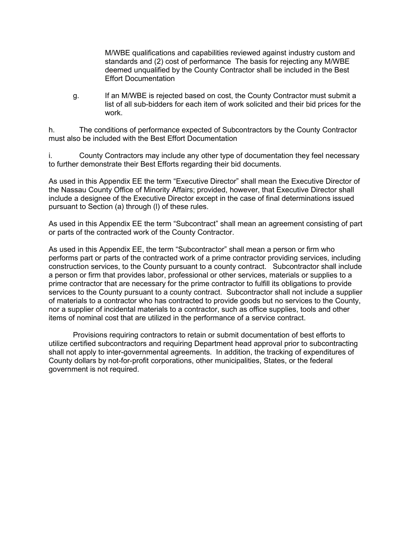M/WBE qualifications and capabilities reviewed against industry custom and standards and (2) cost of performance The basis for rejecting any M/WBE deemed unqualified by the County Contractor shall be included in the Best Effort Documentation

g. If an M/WBE is rejected based on cost, the County Contractor must submit a list of all sub-bidders for each item of work solicited and their bid prices for the work.

h. The conditions of performance expected of Subcontractors by the County Contractor must also be included with the Best Effort Documentation

i. County Contractors may include any other type of documentation they feel necessary to further demonstrate their Best Efforts regarding their bid documents.

As used in this Appendix EE the term "Executive Director" shall mean the Executive Director of the Nassau County Office of Minority Affairs; provided, however, that Executive Director shall include a designee of the Executive Director except in the case of final determinations issued pursuant to Section (a) through (l) of these rules.

As used in this Appendix EE the term "Subcontract" shall mean an agreement consisting of part or parts of the contracted work of the County Contractor.

As used in this Appendix EE, the term "Subcontractor" shall mean a person or firm who performs part or parts of the contracted work of a prime contractor providing services, including construction services, to the County pursuant to a county contract. Subcontractor shall include a person or firm that provides labor, professional or other services, materials or supplies to a prime contractor that are necessary for the prime contractor to fulfill its obligations to provide services to the County pursuant to a county contract. Subcontractor shall not include a supplier of materials to a contractor who has contracted to provide goods but no services to the County, nor a supplier of incidental materials to a contractor, such as office supplies, tools and other items of nominal cost that are utilized in the performance of a service contract.

 Provisions requiring contractors to retain or submit documentation of best efforts to utilize certified subcontractors and requiring Department head approval prior to subcontracting shall not apply to inter-governmental agreements. In addition, the tracking of expenditures of County dollars by not-for-profit corporations, other municipalities, States, or the federal government is not required.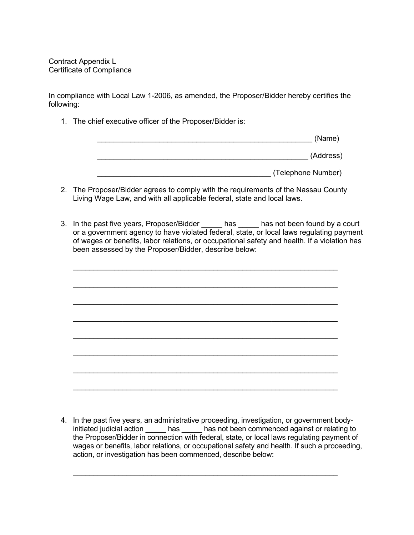Contract Appendix L Certificate of Compliance

In compliance with Local Law 1-2006, as amended, the Proposer/Bidder hereby certifies the following:

1. The chief executive officer of the Proposer/Bidder is:

| (Name)             |  |
|--------------------|--|
| (Address)          |  |
| (Telephone Number) |  |

- 2. The Proposer/Bidder agrees to comply with the requirements of the Nassau County Living Wage Law, and with all applicable federal, state and local laws.
- 3. In the past five years, Proposer/Bidder \_\_\_\_\_ has \_\_\_\_\_ has not been found by a court or a government agency to have violated federal, state, or local laws regulating payment of wages or benefits, labor relations, or occupational safety and health. If a violation has been assessed by the Proposer/Bidder, describe below:



4. In the past five years, an administrative proceeding, investigation, or government bodyinitiated judicial action has based has not been commenced against or relating to the Proposer/Bidder in connection with federal, state, or local laws regulating payment of wages or benefits, labor relations, or occupational safety and health. If such a proceeding, action, or investigation has been commenced, describe below:

 $\_$  , and the set of the set of the set of the set of the set of the set of the set of the set of the set of the set of the set of the set of the set of the set of the set of the set of the set of the set of the set of th